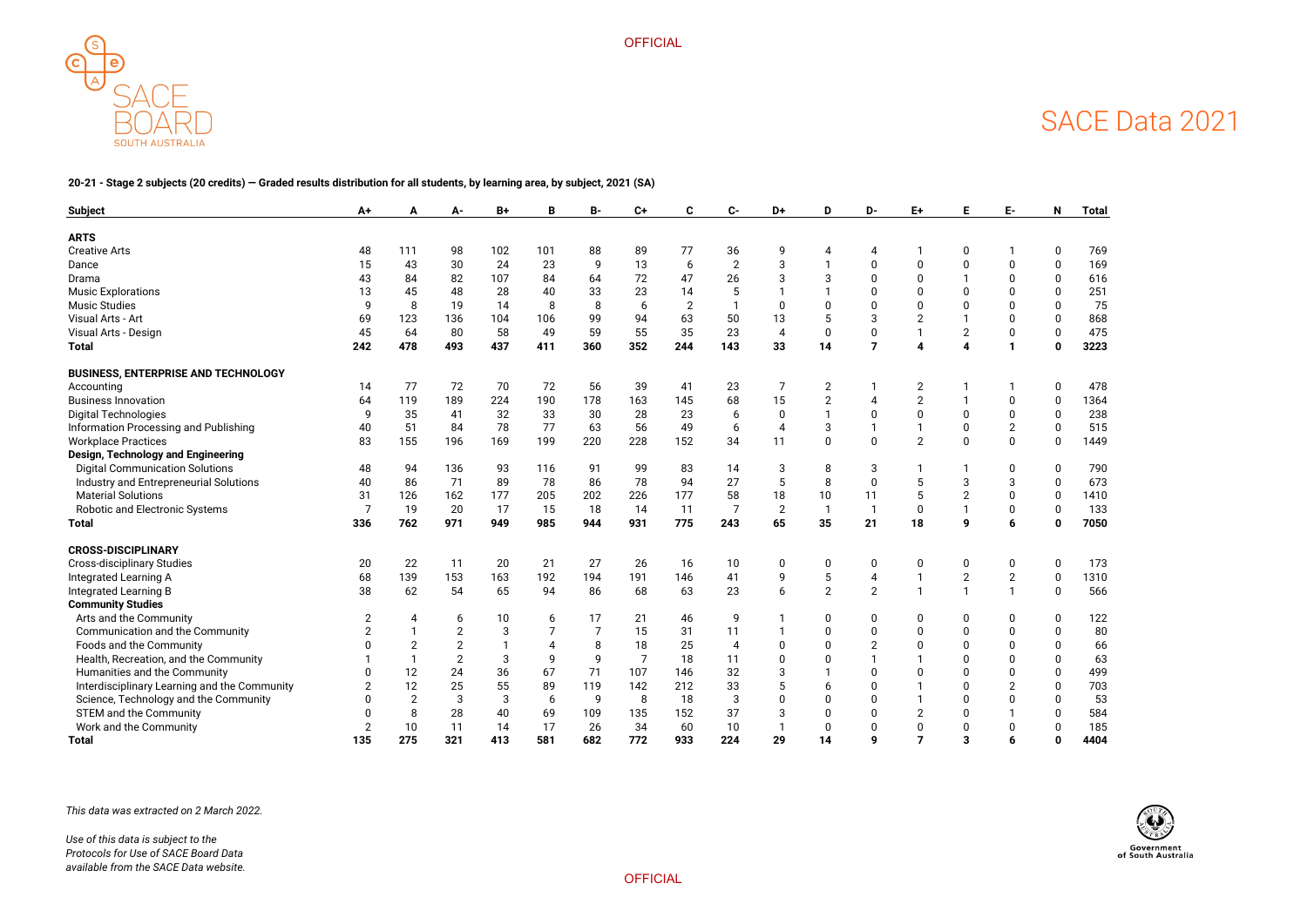

**OFFICIAL** 



#### **20-21 - Stage 2 subjects (20 credits) — Graded results distribution for all students, by learning area, by subject, 2021 (SA)**

| <b>Subject</b>                               | A+             | А              | А-             | B+  | B     | В-             | $C+$           | C                | $c-$             | D+                    | D                       | D-                      | E+                     | Ε                       | E-             | N              | <b>Total</b> |
|----------------------------------------------|----------------|----------------|----------------|-----|-------|----------------|----------------|------------------|------------------|-----------------------|-------------------------|-------------------------|------------------------|-------------------------|----------------|----------------|--------------|
| <b>ARTS</b>                                  |                |                |                |     |       |                |                |                  |                  |                       |                         |                         |                        |                         |                |                |              |
| <b>Creative Arts</b>                         | 48             | 111            | 98             | 102 | 101   | 88             | 89             | 77               | 36               | 9                     | 4                       | 4                       |                        |                         |                | 0              | 769          |
| Dance                                        | 15             | 43             | 30             | 24  | 23    | 9              | 13             | $\boldsymbol{6}$ | $\sqrt{2}$       | 3                     |                         | $\mathbf 0$             | $\Omega$               |                         | $\mathbf 0$    | $\overline{0}$ | 169          |
| Drama                                        | 43             | 84             | 82             | 107 | 84    | 64             | 72             | 47               | 26               | 3                     | 3                       | $\mathbf 0$             | $\Omega$               |                         | $\Omega$       | 0              | 616          |
| <b>Music Explorations</b>                    | 13             | 45             | 48             | 28  | 40    | 33             | 23             | 14               | 5                |                       |                         | $\Omega$                | $\Omega$               |                         | $\Omega$       | 0              | 251          |
| <b>Music Studies</b>                         | q              | 8              | 19             | 14  | 8     | 8              | 6              | $\overline{2}$   | $\mathbf{1}$     | $\Omega$              | 0                       | $\mathbf 0$             | $\Omega$               |                         | $\mathbf 0$    | $\overline{0}$ | 75           |
| Visual Arts - Art                            | 69             | 123            | 136            | 104 | 106   | 99             | 94             | 63               | 50               | 13                    | 5                       | 3                       | $\overline{2}$         |                         | $\mathbf{0}$   | $\overline{0}$ | 868          |
| Visual Arts - Design                         | 45             | 64             | 80             | 58  | 49    | 59             | 55             | 35               | 23               | $\overline{4}$        | 0                       | $\pmb{0}$               |                        | $\overline{c}$          | $\pmb{0}$      | 0              | 475          |
| <b>Total</b>                                 | 242            | 478            | 493            | 437 | 411   | 360            | 352            | 244              | 143              | 33                    | 14                      | $\overline{7}$          | $\boldsymbol{\Lambda}$ |                         | $\mathbf{1}$   | $\mathbf 0$    | 3223         |
| <b>BUSINESS, ENTERPRISE AND TECHNOLOGY</b>   |                |                |                |     |       |                |                |                  |                  |                       |                         |                         |                        |                         |                |                |              |
| Accounting                                   | 14             | 77             | 72             | 70  | 72    | 56             | 39             | 41               | 23               | 7                     | $\overline{2}$          |                         | $\overline{2}$         |                         |                | 0              | 478          |
| <b>Business Innovation</b>                   | 64             | 119            | 189            | 224 | 190   | 178            | 163            | 145              | 68               | 15                    | $\overline{2}$          | 4                       | $\overline{2}$         |                         | $\Omega$       | $\mathbf 0$    | 1364         |
| <b>Digital Technologies</b>                  | 9              | 35             | 41             | 32  | 33    | 30             | 28             | 23               | 6                | $\mathbf 0$           |                         | $\mathbf 0$             | $\mathbf 0$            | 0                       | $\mathbf 0$    | 0              | 238          |
| Information Processing and Publishing        | 40             | 51             | 84             | 78  | 77    | 63             | 56             | 49               | $\boldsymbol{6}$ | $\boldsymbol{\Delta}$ | 3                       |                         |                        | $\mathbf 0$             | $\overline{2}$ | 0              | 515          |
| <b>Workplace Practices</b>                   | 83             | 155            | 196            | 169 | 199   | 220            | 228            | 152              | 34               | 11                    | $\mathbf 0$             | $\mathbf 0$             | $\overline{2}$         | $\Omega$                | $\overline{0}$ | 0              | 1449         |
| Design, Technology and Engineering           |                |                |                |     |       |                |                |                  |                  |                       |                         |                         |                        |                         |                |                |              |
| <b>Digital Communication Solutions</b>       | 48             | 94             | 136            | 93  | 116   | 91             | 99             | 83               | 14               | 3                     | 8                       | 3                       |                        |                         | $\mathbf 0$    | 0              | 790          |
| Industry and Entrepreneurial Solutions       | 40             | 86             | 71             | 89  | 78    | 86             | 78             | 94               | 27               | 5                     | 8                       | $\mathbf 0$             | 5                      | 3                       | 3              | $\overline{0}$ | 673          |
| <b>Material Solutions</b>                    | 31             | 126            | 162            | 177 | 205   | 202            | 226            | 177              | 58               | 18                    | 10                      | 11                      | 5                      | $\overline{2}$          | $\mathbf 0$    | $\mathbf 0$    | 1410         |
| Robotic and Electronic Systems               | 7              | 19             | 20             | 17  | 15    | 18             | 14             | 11               | $\overline{7}$   | $\overline{2}$        | $\overline{\mathbf{1}}$ | $\overline{1}$          | $\mathbf 0$            |                         | $\pmb{0}$      | $\mathbf 0$    | 133          |
| <b>Total</b>                                 | 336            | 762            | 971            | 949 | 985   | 944            | 931            | 775              | 243              | 65                    | 35                      | 21                      | 18                     | 9                       | $6\phantom{1}$ | $\mathbf{0}$   | 7050         |
| <b>CROSS-DISCIPLINARY</b>                    |                |                |                |     |       |                |                |                  |                  |                       |                         |                         |                        |                         |                |                |              |
| <b>Cross-disciplinary Studies</b>            | 20             | 22             | 11             | 20  | 21    | 27             | 26             | 16               | 10               | $\Omega$              | 0                       | 0                       | $\Omega$               | 0                       | $\pmb{0}$      | 0              | 173          |
| Integrated Learning A                        | 68             | 139            | 153            | 163 | 192   | 194            | 191            | 146              | 41               | 9                     | $\sqrt{5}$              | $\overline{\mathbf{4}}$ |                        | $\mathbf{2}$            | $\sqrt{2}$     | 0              | 1310         |
| <b>Integrated Learning B</b>                 | 38             | 62             | 54             | 65  | 94    | 86             | 68             | 63               | 23               | 6                     | $\overline{2}$          | $\overline{2}$          |                        | -1                      | $\mathbf{1}$   | 0              | 566          |
| <b>Community Studies</b>                     |                |                |                |     |       |                |                |                  |                  |                       |                         |                         |                        |                         |                |                |              |
| Arts and the Community                       | $\overline{2}$ | 4              | 6              | 10  | 6     | 17             | 21             | 46               | 9                |                       | $\mathbf 0$             | $\mathbf 0$             | $\Omega$               | $\Omega$                | $\mathbf 0$    | 0              | 122          |
| Communication and the Community              |                |                | $\overline{2}$ | 3   | 7     | $\overline{7}$ | 15             | 31               | 11               |                       | 0                       | $\pmb{0}$               | $\Omega$               |                         | $\Omega$       | $\mathbf 0$    | 80           |
| Foods and the Community                      | n              | $\overline{2}$ | $\overline{2}$ |     | 4     | 8              | 18             | 25               | $\overline{4}$   |                       | 0                       | $\overline{2}$          | $\Omega$               |                         | $\Omega$       | $\overline{0}$ | 66           |
| Health, Recreation, and the Community        |                | $\mathbf{1}$   | $\overline{2}$ | 3   | 9     | 9              | $\overline{7}$ | 18               | 11               | O                     | 0                       |                         |                        |                         | $\Omega$       | 0              | 63           |
| Humanities and the Community                 | $\mathbf 0$    | 12             | 24             | 36  | 67    | 71             | 107            | 146              | 32               | 3                     |                         | $\pmb{0}$               | $\Omega$               |                         | $\mathbf 0$    | 0              | 499          |
| Interdisciplinary Learning and the Community | $\overline{2}$ | 12             | 25             | 55  | 89    | 119            | 142            | 212              | 33               | 5                     | 6                       | $\mathbf 0$             |                        |                         | $\overline{2}$ | 0              | 703          |
| Science, Technology and the Community        | $\Omega$       | $\overline{2}$ | $\mathbf{3}$   | 3   | $6\,$ | 9              | 8              | 18               | $\mathbf{3}$     |                       | 0                       | $\Omega$                |                        |                         | $\mathbf 0$    | 0              | 53           |
| <b>STEM and the Community</b>                | $\Omega$       | 8              | 28             | 40  | 69    | 109            | 135            | 152              | 37               | 3                     | 0                       | $\mathbf{0}$            | $\overline{2}$         |                         |                | 0              | 584          |
| Work and the Community                       | $\overline{2}$ | 10             | 11             | 14  | 17    | 26             | 34             | 60               | 10               | $\mathbf 1$           | 0                       | $\mathbf 0$             | $\Omega$               | $\Omega$                | $\mathbf 0$    | 0              | 185          |
| <b>Total</b>                                 | 135            | 275            | 321            | 413 | 581   | 682            | 772            | 933              | 224              | 29                    | 14                      | 9                       | $\overline{7}$         | $\overline{\mathbf{3}}$ | 6              | 0              | 4404         |

*This data was extracted on 2 March 2022.*

*Use of this data is subject to the Protocols for Use of SACE Board Data available from the SACE Data website.*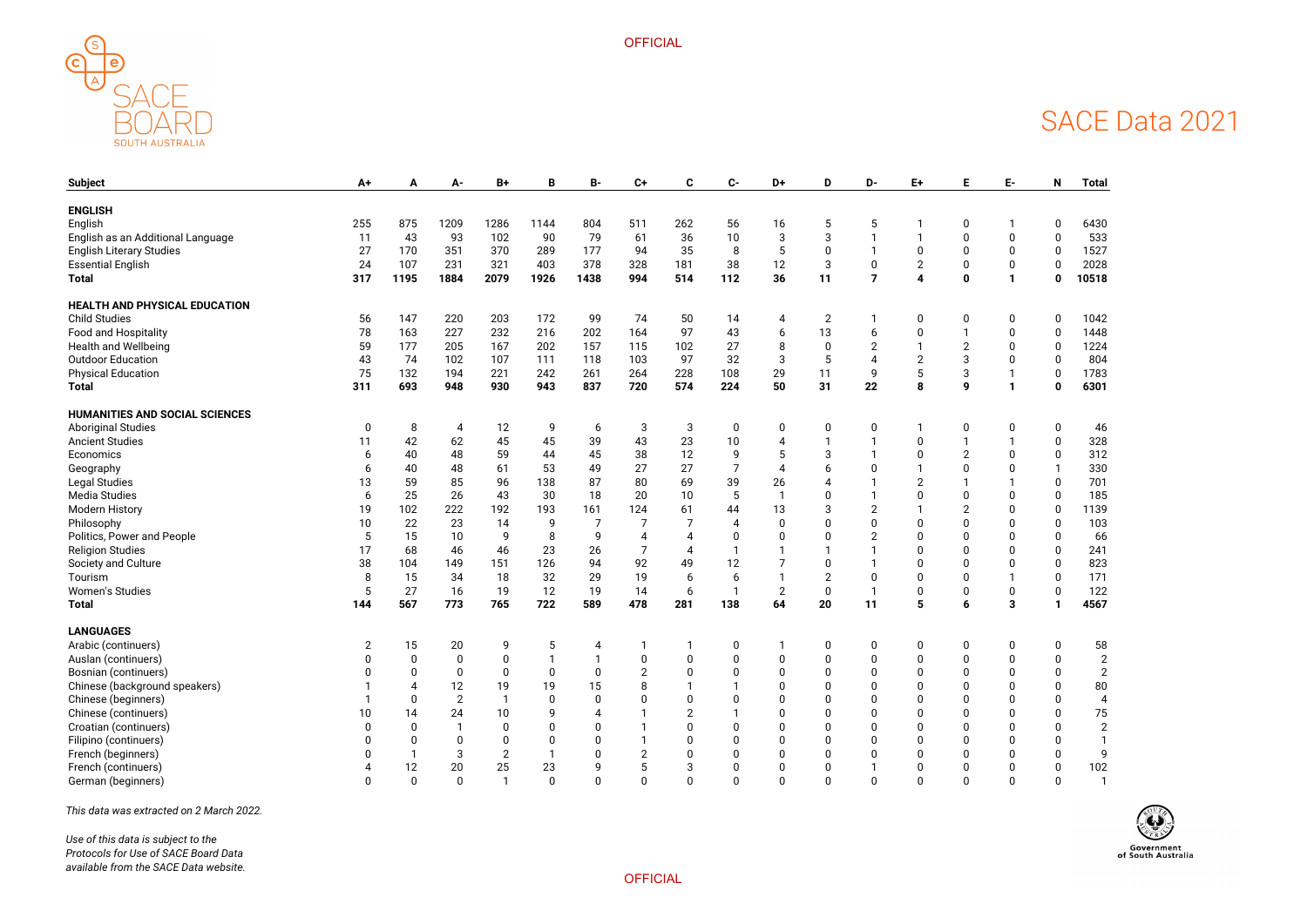



| <b>Subject</b>                        | A+             | A           | A-             | $B+$           | В            | <b>B-</b> | $C+$ | C              | $C-$             | D+             | D              | D-                     | E+             | E              | Е-           | N                | <b>Total</b>   |
|---------------------------------------|----------------|-------------|----------------|----------------|--------------|-----------|------|----------------|------------------|----------------|----------------|------------------------|----------------|----------------|--------------|------------------|----------------|
| <b>ENGLISH</b>                        |                |             |                |                |              |           |      |                |                  |                |                |                        |                |                |              |                  |                |
| English                               | 255            | 875         | 1209           | 1286           | 1144         | 804       | 511  | 262            | 56               | 16             | 5              | 5                      |                | 0              |              | $\mathbf{0}$     | 6430           |
| English as an Additional Language     | 11             | 43          | 93             | 102            | 90           | 79        | 61   | 36             | 10               | 3              | 3              | $\mathbf 1$            |                | 0              | $\mathbf 0$  | $\mathbf 0$      | 533            |
| <b>English Literary Studies</b>       | 27             | 170         | 351            | 370            | 289          | 177       | 94   | 35             | 8                | 5              | 0              |                        | $\pmb{0}$      | 0              | $\mathbf 0$  | $\mathbf 0$      | 1527           |
| <b>Essential English</b>              | 24             | 107         | 231            | 321            | 403          | 378       | 328  | 181            | 38               | 12             | 3              | $\pmb{0}$              | $\overline{2}$ | 0              | $\pmb{0}$    | 0                | 2028           |
| <b>Total</b>                          | 317            | 1195        | 1884           | 2079           | 1926         | 1438      | 994  | 514            | 112              | 36             | 11             | $\overline{7}$         | 4              | $\mathbf 0$    | $\mathbf{1}$ | $\bf{0}$         | 10518          |
| <b>HEALTH AND PHYSICAL EDUCATION</b>  |                |             |                |                |              |           |      |                |                  |                |                |                        |                |                |              |                  |                |
| <b>Child Studies</b>                  | 56             | 147         | 220            | 203            | 172          | 99        | 74   | 50             | 14               | 4              | $\overline{2}$ |                        | 0              | 0              | 0            |                  | 1042           |
| Food and Hospitality                  | 78             | 163         | 227            | 232            | 216          | 202       | 164  | 97             | 43               | 6              | 13             | 6                      | 0              |                | 0            | $\Omega$         | 1448           |
| <b>Health and Wellbeing</b>           | 59             | 177         | 205            | 167            | 202          | 157       | 115  | 102            | 27               | 8              | $\mathbf 0$    | $\overline{2}$         |                | $\overline{2}$ | $\mathbf 0$  | $\Omega$         | 1224           |
| <b>Outdoor Education</b>              | 43             | 74          | 102            | 107            | 111          | 118       | 103  | 97             | 32               | 3              | 5              | $\boldsymbol{\Lambda}$ | $\overline{2}$ | 3              | $\mathbf 0$  | $\mathbf 0$      | 804            |
| <b>Physical Education</b>             | 75             | 132         | 194            | 221            | 242          | 261       | 264  | 228            | 108              | 29             | 11             | 9                      | 5              | 3              |              | 0                | 1783           |
| <b>Total</b>                          | 311            | 693         | 948            | 930            | 943          | 837       | 720  | 574            | 224              | 50             | 31             | 22                     | 8              | 9              | $\mathbf{1}$ | $\boldsymbol{0}$ | 6301           |
| <b>HUMANITIES AND SOCIAL SCIENCES</b> |                |             |                |                |              |           |      |                |                  |                |                |                        |                |                |              |                  |                |
| <b>Aboriginal Studies</b>             | 0              | 8           | 4              | 12             | 9            | 6         | 3    | 3              | $\boldsymbol{0}$ | 0              | 0              | 0                      |                | 0              | 0            | $\mathbf 0$      | 46             |
| <b>Ancient Studies</b>                | 11             | 42          | 62             | 45             | 45           | 39        | 43   | 23             | 10               |                |                |                        | $\mathbf 0$    |                |              |                  | 328            |
| Economics                             | 6              | 40          | 48             | 59             | 44           | 45        | 38   | 12             | 9                |                | 3              |                        | 0              | $\overline{2}$ | $\mathbf{0}$ |                  | 312            |
| Geography                             | 6              | 40          | 48             | 61             | 53           | 49        | 27   | 27             | $\overline{7}$   |                | 6              | $\Omega$               |                | $\Omega$       | $\Omega$     |                  | 330            |
| <b>Legal Studies</b>                  | 13             | 59          | 85             | 96             | 138          | 87        | 80   | 69             | 39               | 26             |                |                        | $\overline{2}$ |                |              |                  | 701            |
| <b>Media Studies</b>                  | 6              | 25          | 26             | 43             | 30           | 18        | 20   | 10             | 5                |                | 0              |                        | $\Omega$       | 0              | $\mathbf 0$  | $\mathbf 0$      | 185            |
| <b>Modern History</b>                 | 19             | 102         | 222            | 192            | 193          | 161       | 124  | 61             | 44               | 13             | 3              | $\overline{2}$         |                | $\overline{c}$ | $\mathbf{0}$ | 0                | 1139           |
| Philosophy                            | 10             | 22          | 23             | 14             | 9            | 7         |      | 7              | 4                | $\Omega$       | $\Omega$       | 0                      | <sup>0</sup>   | $\Omega$       | $\Omega$     | $\Omega$         | 103            |
| Politics, Power and People            | 5              | 15          | 10             | 9              | 8            | 9         |      | $\overline{4}$ | $\mathbf 0$      | $\Omega$       | 0              | $\overline{2}$         | $\Omega$       | $\Omega$       | $\Omega$     |                  | 66             |
| <b>Religion Studies</b>               | 17             | 68          | 46             | 46             | 23           | 26        |      | 4              |                  |                |                |                        | <sup>0</sup>   | $\Omega$       | $\Omega$     |                  | 241            |
| Society and Culture                   | 38             | 104         | 149            | 151            | 126          | 94        | 92   | 49             | 12               |                | 0              |                        | 0              | 0              | $\mathbf{0}$ |                  | 823            |
| Tourism                               | 8              | 15          | 34             | 18             | 32           | 29        | 19   | 6              | 6                |                | $\overline{2}$ | 0                      | <sup>0</sup>   | 0              |              | $\Omega$         | 171            |
| <b>Women's Studies</b>                | 5              | 27          | 16             | 19             | 12           | 19        | 14   | 6              | -1               | $\overline{2}$ | $\mathbf 0$    | $\mathbf{1}$           | $\mathbf 0$    | $\mathbf 0$    | $\mathbf 0$  | $\mathbf 0$      | 122            |
| <b>Total</b>                          | 144            | 567         | 773            | 765            | 722          | 589       | 478  | 281            | 138              | 64             | 20             | 11                     | 5              | 6              | 3            |                  | 4567           |
| <b>LANGUAGES</b>                      |                |             |                |                |              |           |      |                |                  |                |                |                        |                |                |              |                  |                |
| Arabic (continuers)                   | $\overline{2}$ | 15          | 20             | 9              | 5            | 4         |      |                | $\mathbf 0$      |                | 0              | 0                      | 0              | 0              | $\pmb{0}$    | 0                | 58             |
| Auslan (continuers)                   |                |             |                |                |              |           |      |                |                  |                |                |                        |                |                |              |                  | 2              |
| Bosnian (continuers)                  |                |             |                | 0              | $\Omega$     | 0         |      |                |                  | <sup>0</sup>   |                |                        |                | 0              |              |                  | $\overline{2}$ |
| Chinese (background speakers)         |                |             | 12             | 19             | 19           | 15        |      |                |                  |                |                |                        |                | <sup>0</sup>   |              |                  | 80             |
| Chinese (beginners)                   |                | $\Omega$    | $\overline{2}$ |                | $\mathbf 0$  | $\Omega$  |      | $\Omega$       |                  |                |                |                        |                |                |              |                  | $\overline{4}$ |
| Chinese (continuers)                  | 10             | 14          | 24             | 10             | 9            |           |      | $\overline{2}$ |                  |                |                |                        |                |                |              |                  | 75             |
| Croatian (continuers)                 |                | $\Omega$    |                |                | $\mathbf 0$  | 0         |      | $\Omega$       |                  |                |                |                        |                |                |              |                  | $\overline{2}$ |
| Filipino (continuers)                 |                | ŋ           | 0              |                | $\mathbf{0}$ | 0         |      | $\Omega$       |                  |                |                |                        |                |                |              |                  |                |
| French (beginners)                    |                |             | 3              | $\overline{2}$ | -1           | $\Omega$  |      | $\Omega$       | $\Omega$         |                | <sup>0</sup>   |                        |                | <sup>0</sup>   | $\Omega$     |                  | 9              |
| French (continuers)                   |                | 12          | $20\,$         | 25             | 23           | 9         |      | $\mathbf{3}$   | $\Omega$         |                | 0              |                        | <sup>0</sup>   | 0              |              |                  | 102            |
| German (beginners)                    |                | $\mathbf 0$ | $\mathsf 0$    |                | $\mathbf 0$  | $\pmb{0}$ |      | $\pmb{0}$      | $\mathbf 0$      | $\mathbf{0}$   | 0              | 0                      | $\mathbf{0}$   | 0              | $\mathbf{0}$ |                  | $\mathbf{1}$   |

*This data was extracted on 2 March 2022.*

*Use of this data is subject to the Protocols for Use of SACE Board Data available from the SACE Data website.*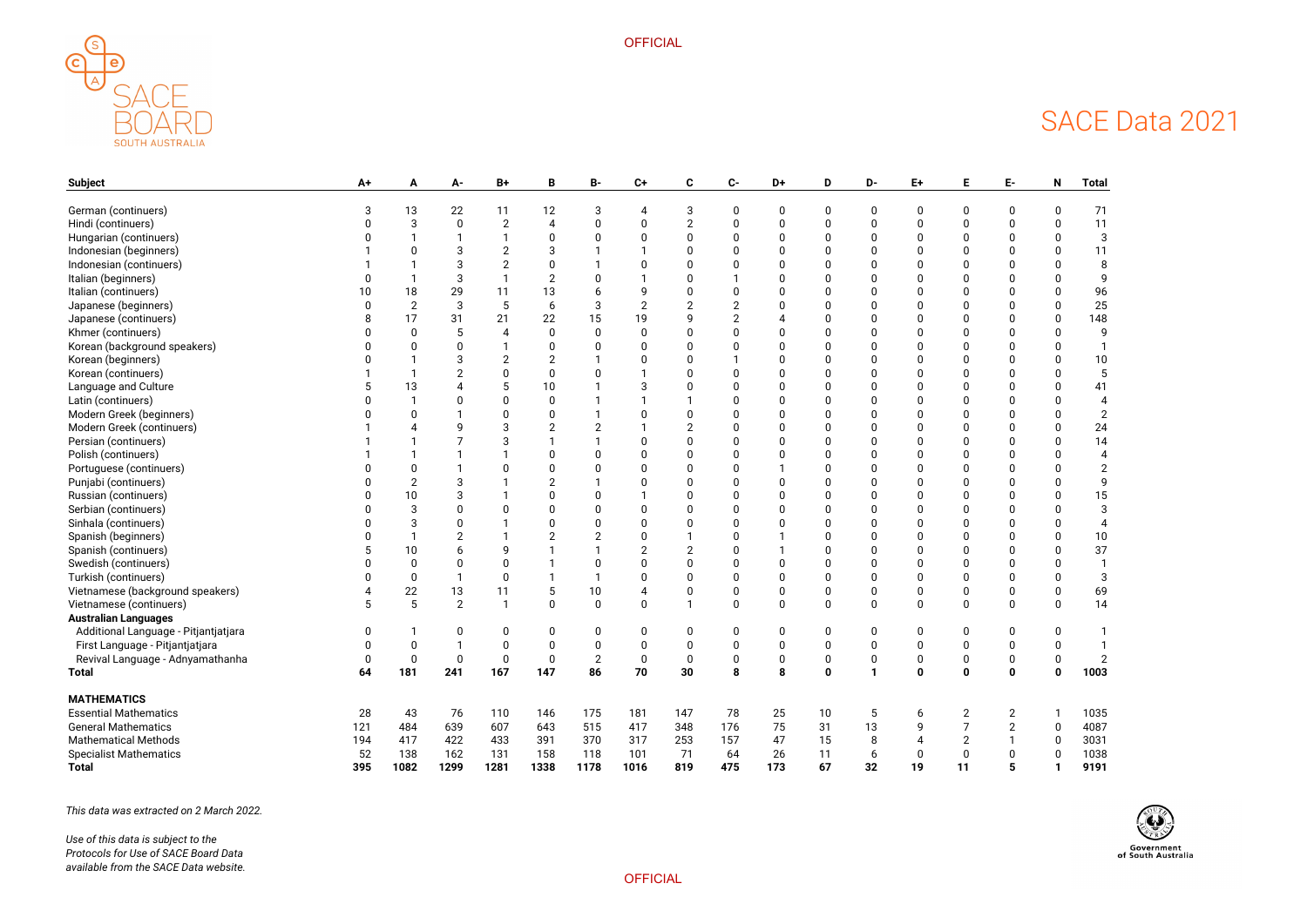



| <b>Subject</b>                       | A+  |                | А-             | $B+$         |      | В-   | $C+$ | C        | $C-$     | D+  | D           | D-           | E+          |                | E-               | N           | <b>Total</b>   |
|--------------------------------------|-----|----------------|----------------|--------------|------|------|------|----------|----------|-----|-------------|--------------|-------------|----------------|------------------|-------------|----------------|
| German (continuers)                  |     | 13             | 22             | 11           | 12   |      |      | 3        |          |     | O           | <sup>0</sup> |             |                |                  |             | 71             |
| Hindi (continuers)                   |     |                | $\Omega$       |              |      |      |      |          |          |     |             |              |             |                |                  |             | 11             |
| Hungarian (continuers)               |     |                |                |              |      |      |      |          |          |     |             |              |             |                |                  |             | 3              |
| Indonesian (beginners)               |     |                |                |              |      |      |      |          |          |     |             |              |             |                |                  |             | 11             |
| Indonesian (continuers)              |     |                |                |              |      |      |      |          |          |     |             |              |             |                |                  |             | 8              |
| Italian (beginners)                  |     |                |                |              |      |      |      |          |          |     |             |              |             |                |                  |             | q              |
| Italian (continuers)                 |     | 18             | 29             |              | 13   |      |      |          |          |     |             |              |             |                |                  |             | 96             |
| Japanese (beginners)                 |     | $\overline{2}$ | 3              | 5            | 6    | 3    |      |          |          |     |             |              |             |                |                  |             | 25             |
| Japanese (continuers)                |     | 17             | 31             | 21           | 22   | 15   |      |          |          |     |             |              |             |                |                  |             | 148            |
| Khmer (continuers)                   |     |                |                |              |      |      |      |          |          |     |             |              |             |                |                  |             | 9              |
| Korean (background speakers)         |     |                |                |              |      |      |      |          |          |     |             |              |             |                |                  |             |                |
| Korean (beginners)                   |     |                |                |              |      |      |      |          |          |     |             |              |             |                |                  |             | 10             |
| Korean (continuers)                  |     |                |                |              |      |      |      |          |          |     |             |              |             |                |                  |             | 5              |
| Language and Culture                 |     | 13             |                |              | 10   |      |      |          |          |     |             |              |             |                |                  |             | 41             |
| Latin (continuers)                   |     |                |                |              |      |      |      |          |          |     |             |              |             |                |                  |             |                |
| Modern Greek (beginners)             |     |                |                |              |      |      |      |          |          |     |             |              |             |                |                  |             | $\overline{2}$ |
| Modern Greek (continuers)            |     |                |                |              |      |      |      |          |          |     |             |              |             |                |                  |             | 24             |
| Persian (continuers)                 |     |                |                |              |      |      |      |          |          |     |             |              |             |                |                  |             | 14             |
| Polish (continuers)                  |     |                |                |              |      |      |      |          |          |     |             |              |             |                |                  |             |                |
| Portuguese (continuers)              |     |                |                |              |      |      |      |          |          |     |             |              |             |                |                  |             |                |
| Punjabi (continuers)                 |     | 2              |                |              |      |      |      |          |          |     |             |              |             |                |                  |             | 9              |
| Russian (continuers)                 |     | 10             |                |              |      |      |      |          |          |     |             |              |             |                |                  |             | 15             |
| Serbian (continuers)                 |     | 3              |                |              |      |      |      |          |          |     |             |              |             |                |                  |             | 3              |
| Sinhala (continuers)                 |     |                |                |              |      |      |      |          |          |     |             |              |             |                |                  |             |                |
| Spanish (beginners)                  |     |                |                |              |      |      |      |          |          |     |             |              |             |                |                  |             | 10             |
| Spanish (continuers)                 |     | 10             |                |              |      |      |      |          |          |     |             |              |             |                |                  |             | 37             |
| Swedish (continuers)                 |     |                |                |              |      |      |      |          |          |     |             |              |             |                |                  |             |                |
| Turkish (continuers)                 |     |                |                | <sup>0</sup> |      |      |      |          |          |     |             |              |             |                |                  |             |                |
| Vietnamese (background speakers)     |     | 22             | 13             |              |      | 10   |      |          |          |     | O           | $\Omega$     |             |                |                  |             | 69             |
| Vietnamese (continuers)              |     | 5              | $\overline{2}$ |              |      |      |      |          | $\Omega$ |     | $\Omega$    | $\Omega$     | $\Omega$    |                |                  |             | 14             |
| <b>Australian Languages</b>          |     |                |                |              |      |      |      |          |          |     |             |              |             |                |                  |             |                |
| Additional Language - Pitjantjatjara |     |                |                | $\mathbf{0}$ |      |      |      | $\Omega$ | 0        |     | O           | <sup>0</sup> |             |                |                  |             |                |
| First Language - Pitjantjatjara      |     |                |                | $\mathbf 0$  |      |      |      |          | ŋ        |     | 0           | 0            | $\Omega$    |                |                  |             |                |
| Revival Language - Adnyamathanha     | U   | U              | U              | U            | U    | Z    | U    | U        | U        | υ   | U           | U            | υ           |                | $\boldsymbol{0}$ | U           | $\mathbb{Z}$   |
| <b>Total</b>                         | 64  | 181            | 241            | 167          | 147  | 86   | 70   | 30       | 8        | 8   | $\mathbf 0$ | $\mathbf{1}$ | $\mathbf 0$ | $\mathbf 0$    | $\mathbf 0$      | $\mathbf 0$ | 1003           |
| <b>MATHEMATICS</b>                   |     |                |                |              |      |      |      |          |          |     |             |              |             |                |                  |             |                |
| <b>Essential Mathematics</b>         | 28  | 43             | 76             | 110          | 146  | 175  | 181  | 147      | 78       | 25  | 10          | 5            | 6           | $\overline{2}$ | $\overline{2}$   |             | 1035           |
| <b>General Mathematics</b>           | 121 | 484            | 639            | 607          | 643  | 515  | 417  | 348      | 176      | 75  | 31          | 13           | 9           | $\overline{7}$ | $\overline{2}$   | $\mathbf 0$ | 4087           |
| <b>Mathematical Methods</b>          | 194 | 417            | 422            | 433          | 391  | 370  | 317  | 253      | 157      | 47  | 15          | 8            |             | $\overline{2}$ |                  | 0           | 3031           |
| <b>Specialist Mathematics</b>        | 52  | 138            | 162            | 131          | 158  | 118  | 101  | 71       | 64       | 26  | 11          | 6            | 0           | $\mathbf 0$    | $\pmb{0}$        | $\mathbf 0$ | 1038           |
| <b>Total</b>                         | 395 | 1082           | 1299           | 1281         | 1338 | 1178 | 1016 | 819      | 475      | 173 | 67          | 32           | 19          | 11             | 5                |             | 9191           |

*This data was extracted on 2 March 2022.*

*Use of this data is subject to the Protocols for Use of SACE Board Data available from the SACE Data website.*